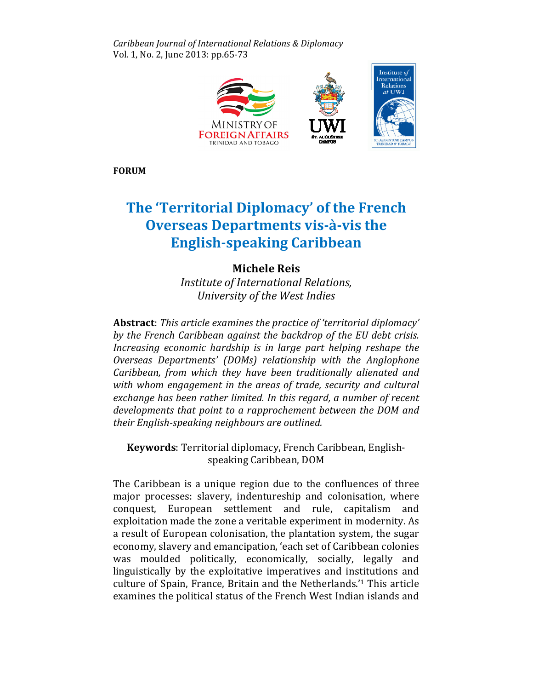Caribbean Journal of International Relations & Diplomacy Vol. 1, No. 2, June 2013: pp.65-73



FORUM

# The 'Territorial Diplomacy' of the French Overseas Departments vis-à-vis the English-speaking Caribbean speaking

# Michele Reis

Institute of International Relations, Relations, University of the West Indies University

Abstract: This article examines the practice of 'territorial diplomacy' by the French Caribbean against the backdrop of the EU debt crisis. Increasing economic hardship is in large part helping reshape the Overseas Departments' (DOMs) relationship with the Anglophone Caribbean, from which they have been traditionally alienated and with whom engagement in the areas of trade, security and cultural exchange has been rather limited. In this regard, a number of recent developments that point to a rapprochement between the DOM and their English-speaking neighbours are outlined.

Keywords: Territorial diplomacy, French Caribbean, Englishspeaking Caribbean, DOM

The Caribbean is a unique region due to the confluences of three major processes: slavery, indentureship and colonisation, where conquest, European settlement and rule, capitalism and European and exploitation made the zone a veritable experiment in modernity. As a result of European colonisation, the plantation system, the sugar economy, slavery and emancipation, 'each set of Caribbean colonies was moulded politically, economically, socially, legally and legally and linguistically by the exploitative imperatives and institutions and culture of Spain, France, Britain and the Netherlands.'<sup>1</sup> This article examines the political status of the French West Indian islands and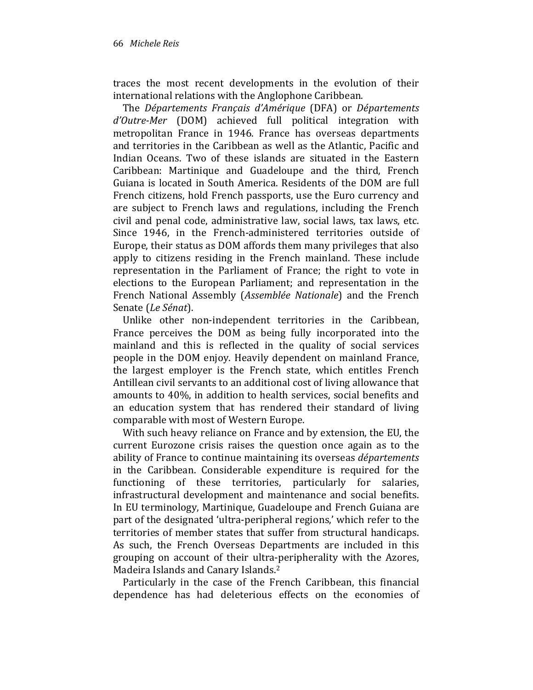traces the most recent developments in the evolution of their international relations with the Anglophone Caribbean.

The Départements Français d'Amérique (DFA) or Départements d'Outre-Mer (DOM) achieved full political integration with metropolitan France in 1946. France has overseas departments and territories in the Caribbean as well as the Atlantic, Pacific and Indian Oceans. Two of these islands are situated in the Eastern Caribbean: Martinique and Guadeloupe and the third, French Guiana is located in South America. Residents of the DOM are full French citizens, hold French passports, use the Euro currency and are subject to French laws and regulations, including the French civil and penal code, administrative law, social laws, tax laws, etc. Since 1946, in the French-administered territories outside of Europe, their status as DOM affords them many privileges that also apply to citizens residing in the French mainland. These include representation in the Parliament of France; the right to vote in elections to the European Parliament; and representation in the French National Assembly (Assemblée Nationale) and the French Senate (Le Sénat).

Unlike other non-independent territories in the Caribbean, France perceives the DOM as being fully incorporated into the mainland and this is reflected in the quality of social services people in the DOM enjoy. Heavily dependent on mainland France, the largest employer is the French state, which entitles French Antillean civil servants to an additional cost of living allowance that amounts to 40%, in addition to health services, social benefits and an education system that has rendered their standard of living comparable with most of Western Europe.

With such heavy reliance on France and by extension, the EU, the current Eurozone crisis raises the question once again as to the ability of France to continue maintaining its overseas *départements* in the Caribbean. Considerable expenditure is required for the functioning of these territories, particularly for salaries, infrastructural development and maintenance and social benefits. In EU terminology, Martinique, Guadeloupe and French Guiana are part of the designated 'ultra-peripheral regions,' which refer to the territories of member states that suffer from structural handicaps. As such, the French Overseas Departments are included in this grouping on account of their ultra-peripherality with the Azores, Madeira Islands and Canary Islands.<sup>2</sup>

Particularly in the case of the French Caribbean, this financial dependence has had deleterious effects on the economies of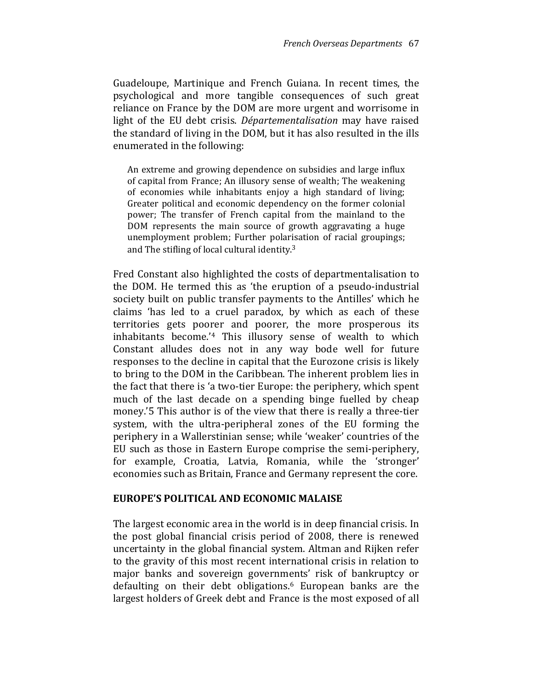Guadeloupe, Martinique and French Guiana. In recent times, the psychological and more tangible consequences of such great reliance on France by the DOM are more urgent and worrisome in light of the EU debt crisis. Départementalisation may have raised the standard of living in the DOM, but it has also resulted in the ills enumerated in the following:

An extreme and growing dependence on subsidies and large influx of capital from France; An illusory sense of wealth; The weakening of economies while inhabitants enjoy a high standard of living; Greater political and economic dependency on the former colonial power; The transfer of French capital from the mainland to the DOM represents the main source of growth aggravating a huge unemployment problem; Further polarisation of racial groupings; and The stifling of local cultural identity.<sup>3</sup>

Fred Constant also highlighted the costs of departmentalisation to the DOM. He termed this as 'the eruption of a pseudo-industrial society built on public transfer payments to the Antilles' which he claims 'has led to a cruel paradox, by which as each of these territories gets poorer and poorer, the more prosperous its inhabitants become.'4 This illusory sense of wealth to which Constant alludes does not in any way bode well for future responses to the decline in capital that the Eurozone crisis is likely to bring to the DOM in the Caribbean. The inherent problem lies in the fact that there is 'a two-tier Europe: the periphery, which spent much of the last decade on a spending binge fuelled by cheap money.'5 This author is of the view that there is really a three-tier system, with the ultra-peripheral zones of the EU forming the periphery in a Wallerstinian sense; while 'weaker' countries of the EU such as those in Eastern Europe comprise the semi-periphery, for example, Croatia, Latvia, Romania, while the 'stronger' economies such as Britain, France and Germany represent the core.

#### EUROPE'S POLITICAL AND ECONOMIC MALAISE

The largest economic area in the world is in deep financial crisis. In the post global financial crisis period of 2008, there is renewed uncertainty in the global financial system. Altman and Rijken refer to the gravity of this most recent international crisis in relation to major banks and sovereign governments' risk of bankruptcy or defaulting on their debt obligations.6 European banks are the largest holders of Greek debt and France is the most exposed of all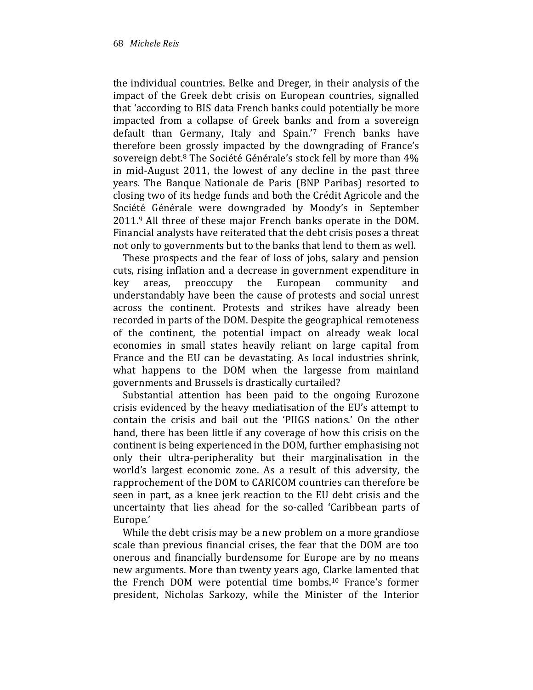the individual countries. Belke and Dreger, in their analysis of the impact of the Greek debt crisis on European countries, signalled that 'according to BIS data French banks could potentially be more impacted from a collapse of Greek banks and from a sovereign default than Germany, Italy and Spain.'7 French banks have therefore been grossly impacted by the downgrading of France's sovereign debt.<sup>8</sup> The Société Générale's stock fell by more than 4% in mid-August 2011, the lowest of any decline in the past three years. The Banque Nationale de Paris (BNP Paribas) resorted to closing two of its hedge funds and both the Crédit Agricole and the Société Générale were downgraded by Moody's in September 2011.9 All three of these major French banks operate in the DOM. Financial analysts have reiterated that the debt crisis poses a threat not only to governments but to the banks that lend to them as well.

These prospects and the fear of loss of jobs, salary and pension cuts, rising inflation and a decrease in government expenditure in key areas, preoccupy the European community and understandably have been the cause of protests and social unrest across the continent. Protests and strikes have already been recorded in parts of the DOM. Despite the geographical remoteness of the continent, the potential impact on already weak local economies in small states heavily reliant on large capital from France and the EU can be devastating. As local industries shrink, what happens to the DOM when the largesse from mainland governments and Brussels is drastically curtailed?

Substantial attention has been paid to the ongoing Eurozone crisis evidenced by the heavy mediatisation of the EU's attempt to contain the crisis and bail out the 'PIIGS nations.' On the other hand, there has been little if any coverage of how this crisis on the continent is being experienced in the DOM, further emphasising not only their ultra-peripherality but their marginalisation in the world's largest economic zone. As a result of this adversity, the rapprochement of the DOM to CARICOM countries can therefore be seen in part, as a knee jerk reaction to the EU debt crisis and the uncertainty that lies ahead for the so-called 'Caribbean parts of Europe.'

While the debt crisis may be a new problem on a more grandiose scale than previous financial crises, the fear that the DOM are too onerous and financially burdensome for Europe are by no means new arguments. More than twenty years ago, Clarke lamented that the French DOM were potential time bombs.10 France's former president, Nicholas Sarkozy, while the Minister of the Interior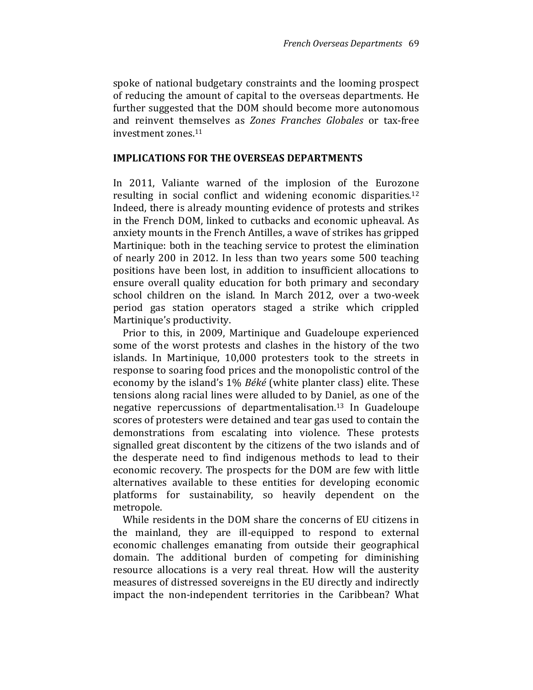spoke of national budgetary constraints and the looming prospect of reducing the amount of capital to the overseas departments. He further suggested that the DOM should become more autonomous and reinvent themselves as Zones Franches Globales or tax-free investment zones.<sup>11</sup>

#### IMPLICATIONS FOR THE OVERSEAS DEPARTMENTS

In 2011, Valiante warned of the implosion of the Eurozone resulting in social conflict and widening economic disparities.<sup>12</sup> Indeed, there is already mounting evidence of protests and strikes in the French DOM, linked to cutbacks and economic upheaval. As anxiety mounts in the French Antilles, a wave of strikes has gripped Martinique: both in the teaching service to protest the elimination of nearly 200 in 2012. In less than two years some 500 teaching positions have been lost, in addition to insufficient allocations to ensure overall quality education for both primary and secondary school children on the island. In March 2012, over a two-week period gas station operators staged a strike which crippled Martinique's productivity.

Prior to this, in 2009, Martinique and Guadeloupe experienced some of the worst protests and clashes in the history of the two islands. In Martinique, 10,000 protesters took to the streets in response to soaring food prices and the monopolistic control of the economy by the island's 1% Béké (white planter class) elite. These tensions along racial lines were alluded to by Daniel, as one of the negative repercussions of departmentalisation.13 In Guadeloupe scores of protesters were detained and tear gas used to contain the demonstrations from escalating into violence. These protests signalled great discontent by the citizens of the two islands and of the desperate need to find indigenous methods to lead to their economic recovery. The prospects for the DOM are few with little alternatives available to these entities for developing economic platforms for sustainability, so heavily dependent on the metropole.

While residents in the DOM share the concerns of EU citizens in the mainland, they are ill-equipped to respond to external economic challenges emanating from outside their geographical domain. The additional burden of competing for diminishing resource allocations is a very real threat. How will the austerity measures of distressed sovereigns in the EU directly and indirectly impact the non-independent territories in the Caribbean? What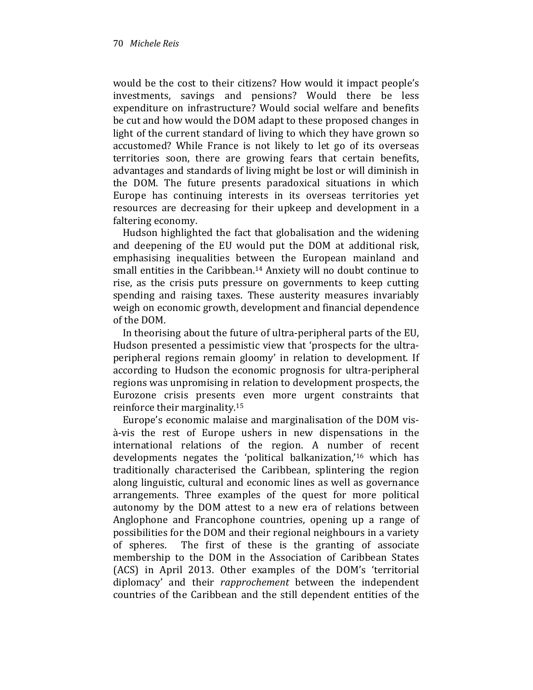would be the cost to their citizens? How would it impact people's investments, savings and pensions? Would there be less expenditure on infrastructure? Would social welfare and benefits be cut and how would the DOM adapt to these proposed changes in light of the current standard of living to which they have grown so accustomed? While France is not likely to let go of its overseas territories soon, there are growing fears that certain benefits, advantages and standards of living might be lost or will diminish in the DOM. The future presents paradoxical situations in which Europe has continuing interests in its overseas territories yet resources are decreasing for their upkeep and development in a faltering economy.

Hudson highlighted the fact that globalisation and the widening and deepening of the EU would put the DOM at additional risk, emphasising inequalities between the European mainland and small entities in the Caribbean.14 Anxiety will no doubt continue to rise, as the crisis puts pressure on governments to keep cutting spending and raising taxes. These austerity measures invariably weigh on economic growth, development and financial dependence of the DOM.

In theorising about the future of ultra-peripheral parts of the EU, Hudson presented a pessimistic view that 'prospects for the ultraperipheral regions remain gloomy' in relation to development. If according to Hudson the economic prognosis for ultra-peripheral regions was unpromising in relation to development prospects, the Eurozone crisis presents even more urgent constraints that reinforce their marginality.<sup>15</sup>

Europe's economic malaise and marginalisation of the DOM visà-vis the rest of Europe ushers in new dispensations in the international relations of the region. A number of recent developments negates the 'political balkanization,'16 which has traditionally characterised the Caribbean, splintering the region along linguistic, cultural and economic lines as well as governance arrangements. Three examples of the quest for more political autonomy by the DOM attest to a new era of relations between Anglophone and Francophone countries, opening up a range of possibilities for the DOM and their regional neighbours in a variety of spheres. The first of these is the granting of associate membership to the DOM in the Association of Caribbean States (ACS) in April 2013. Other examples of the DOM's 'territorial diplomacy' and their rapprochement between the independent countries of the Caribbean and the still dependent entities of the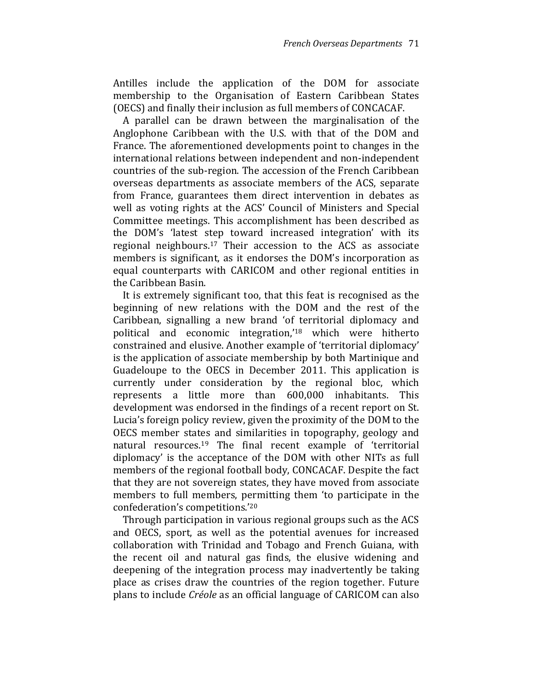Antilles include the application of the DOM for associate membership to the Organisation of Eastern Caribbean States (OECS) and finally their inclusion as full members of CONCACAF.

A parallel can be drawn between the marginalisation of the Anglophone Caribbean with the U.S. with that of the DOM and France. The aforementioned developments point to changes in the international relations between independent and non-independent countries of the sub-region. The accession of the French Caribbean overseas departments as associate members of the ACS, separate from France, guarantees them direct intervention in debates as well as voting rights at the ACS' Council of Ministers and Special Committee meetings. This accomplishment has been described as the DOM's 'latest step toward increased integration' with its regional neighbours.17 Their accession to the ACS as associate members is significant, as it endorses the DOM's incorporation as equal counterparts with CARICOM and other regional entities in the Caribbean Basin.

It is extremely significant too, that this feat is recognised as the beginning of new relations with the DOM and the rest of the Caribbean, signalling a new brand 'of territorial diplomacy and political and economic integration,'18 which were hitherto constrained and elusive. Another example of 'territorial diplomacy' is the application of associate membership by both Martinique and Guadeloupe to the OECS in December 2011. This application is currently under consideration by the regional bloc, which represents a little more than 600,000 inhabitants. This development was endorsed in the findings of a recent report on St. Lucia's foreign policy review, given the proximity of the DOM to the OECS member states and similarities in topography, geology and natural resources.19 The final recent example of 'territorial diplomacy' is the acceptance of the DOM with other NITs as full members of the regional football body, CONCACAF. Despite the fact that they are not sovereign states, they have moved from associate members to full members, permitting them 'to participate in the confederation's competitions.'<sup>20</sup>

Through participation in various regional groups such as the ACS and OECS, sport, as well as the potential avenues for increased collaboration with Trinidad and Tobago and French Guiana, with the recent oil and natural gas finds, the elusive widening and deepening of the integration process may inadvertently be taking place as crises draw the countries of the region together. Future plans to include Créole as an official language of CARICOM can also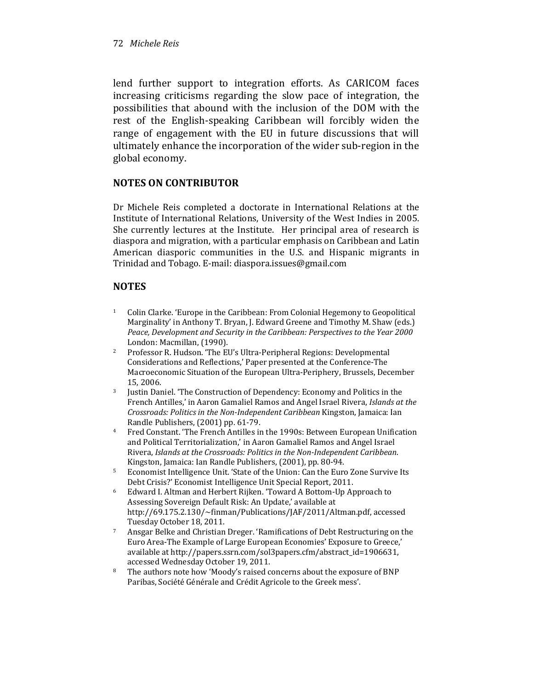#### 72 Michele Reis

lend further support to integration efforts. As CARICOM faces increasing criticisms regarding the slow pace of integration, the possibilities that abound with the inclusion of the DOM with the rest of the English-speaking Caribbean will forcibly widen the range of engagement with the EU in future discussions that will ultimately enhance the incorporation of the wider sub-region in the global economy.

## NOTES ON CONTRIBUTOR

Dr Michele Reis completed a doctorate in International Relations at the Institute of International Relations, University of the West Indies in 2005. She currently lectures at the Institute. Her principal area of research is diaspora and migration, with a particular emphasis on Caribbean and Latin American diasporic communities in the U.S. and Hispanic migrants in Trinidad and Tobago. E-mail: diaspora.issues@gmail.com

## **NOTES**

- <sup>1</sup> Colin Clarke. 'Europe in the Caribbean: From Colonial Hegemony to Geopolitical Marginality' in Anthony T. Bryan, J. Edward Greene and Timothy M. Shaw (eds.) Peace, Development and Security in the Caribbean: Perspectives to the Year 2000 London: Macmillan, (1990).
- <sup>2</sup> Professor R. Hudson. 'The EU's Ultra-Peripheral Regions: Developmental Considerations and Reflections,' Paper presented at the Conference-The Macroeconomic Situation of the European Ultra-Periphery, Brussels, December 15, 2006.
- <sup>3</sup> Justin Daniel. 'The Construction of Dependency: Economy and Politics in the French Antilles,' in Aaron Gamaliel Ramos and Angel Israel Rivera, Islands at the Crossroads: Politics in the Non-Independent Caribbean Kingston, Jamaica: Ian Randle Publishers, (2001) pp. 61-79.
- <sup>4</sup> Fred Constant. 'The French Antilles in the 1990s: Between European Unification and Political Territorialization,' in Aaron Gamaliel Ramos and Angel Israel Rivera, Islands at the Crossroads: Politics in the Non-Independent Caribbean. Kingston, Jamaica: Ian Randle Publishers, (2001), pp. 80-94.
- <sup>5</sup> Economist Intelligence Unit. 'State of the Union: Can the Euro Zone Survive Its Debt Crisis?' Economist Intelligence Unit Special Report, 2011.
- <sup>6</sup> Edward I. Altman and Herbert Rijken. 'Toward A Bottom-Up Approach to Assessing Sovereign Default Risk: An Update,' available at http://69.175.2.130/~finman/Publications/JAF/2011/Altman.pdf, accessed Tuesday October 18, 2011.
- <sup>7</sup> Ansgar Belke and Christian Dreger. 'Ramifications of Debt Restructuring on the Euro Area-The Example of Large European Economies' Exposure to Greece,' available at http://papers.ssrn.com/sol3papers.cfm/abstract\_id=1906631, accessed Wednesday October 19, 2011.
- The authors note how 'Moody's raised concerns about the exposure of BNP Paribas, Société Générale and Crédit Agricole to the Greek mess'.